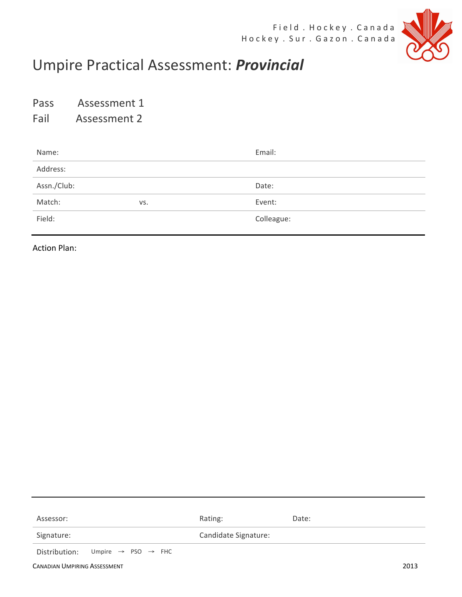

## Umpire Practical Assessment: *Provincial*

Pass Assessment 1

Fail Assessment 2

| Name:       |     | Email:     |
|-------------|-----|------------|
| Address:    |     |            |
| Assn./Club: |     | Date:      |
| Match:      | VS. | Event:     |
| Field:      |     | Colleague: |

**Action Plan:** 

| Assessor:                                                | Rating:              | Date: |      |
|----------------------------------------------------------|----------------------|-------|------|
| Signature:                                               | Candidate Signature: |       |      |
| Distribution: Umpire $\rightarrow$ PSO $\rightarrow$ FHC |                      |       |      |
| <b>CANADIAN UMPIRING ASSESSMENT</b>                      |                      |       | 2013 |